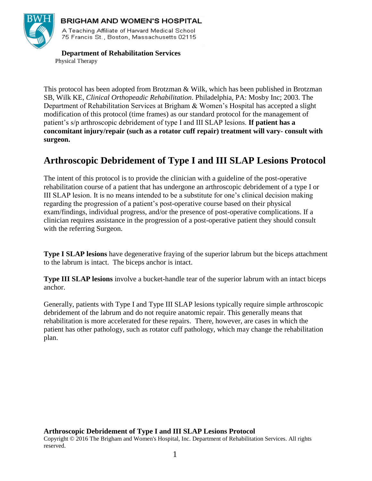

## **BRIGHAM AND WOMEN'S HOSPITAL**

A Teaching Affiliate of Harvard Medical School 75 Francis St., Boston, Massachusetts 02115.

 **Department of Rehabilitation Services** Physical Therapy

This protocol has been adopted from Brotzman & Wilk, which has been published in Brotzman SB, Wilk KE, *Clinical Orthopeadic Rehabilitation*. Philadelphia, PA: Mosby Inc; 2003. The Department of Rehabilitation Services at Brigham & Women's Hospital has accepted a slight modification of this protocol (time frames) as our standard protocol for the management of patient's s/p arthroscopic debridement of type I and III SLAP lesions. **If patient has a concomitant injury/repair (such as a rotator cuff repair) treatment will vary- consult with surgeon.**

# **Arthroscopic Debridement of Type I and III SLAP Lesions Protocol**

The intent of this protocol is to provide the clinician with a guideline of the post-operative rehabilitation course of a patient that has undergone an arthroscopic debridement of a type I or III SLAP lesion. It is no means intended to be a substitute for one's clinical decision making regarding the progression of a patient's post-operative course based on their physical exam/findings, individual progress, and/or the presence of post-operative complications. If a clinician requires assistance in the progression of a post-operative patient they should consult with the referring Surgeon.

**Type I SLAP lesions** have degenerative fraying of the superior labrum but the biceps attachment to the labrum is intact. The biceps anchor is intact.

**Type III SLAP lesions** involve a bucket-handle tear of the superior labrum with an intact biceps anchor.

Generally, patients with Type I and Type III SLAP lesions typically require simple arthroscopic debridement of the labrum and do not require anatomic repair. This generally means that rehabilitation is more accelerated for these repairs. There, however, are cases in which the patient has other pathology, such as rotator cuff pathology, which may change the rehabilitation plan.

#### **Arthroscopic Debridement of Type I and III SLAP Lesions Protocol**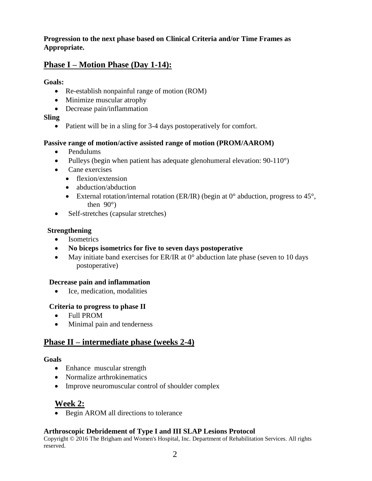**Progression to the next phase based on Clinical Criteria and/or Time Frames as Appropriate.**

# **Phase I – Motion Phase (Day 1-14):**

#### **Goals:**

- Re-establish nonpainful range of motion (ROM)
- Minimize muscular atrophy
- Decrease pain/inflammation

### **Sling**

• Patient will be in a sling for 3-4 days postoperatively for comfort.

#### **Passive range of motion/active assisted range of motion (PROM/AAROM)**

- Pendulums
- Pulleys (begin when patient has adequate glenohumeral elevation:  $90-110^{\circ}$ )
- Cane exercises
	- flexion/extension
	- abduction/abduction
	- External rotation/internal rotation (ER/IR) (begin at  $0^{\circ}$  abduction, progress to 45 $^{\circ}$ , then 90°)
- Self-stretches (capsular stretches)

#### **Strengthening**

- Isometrics
- **No biceps isometrics for five to seven days postoperative**
- May initiate band exercises for ER/IR at  $0^{\circ}$  abduction late phase (seven to 10 days postoperative)

#### **Decrease pain and inflammation**

• Ice, medication, modalities

#### **Criteria to progress to phase II**

- Full PROM
- Minimal pain and tenderness

# **Phase II – intermediate phase (weeks 2-4)**

#### **Goals**

- Enhance muscular strength
- Normalize arthrokinematics
- Improve neuromuscular control of shoulder complex

# **Week 2:**

• Begin AROM all directions to tolerance

### **Arthroscopic Debridement of Type I and III SLAP Lesions Protocol**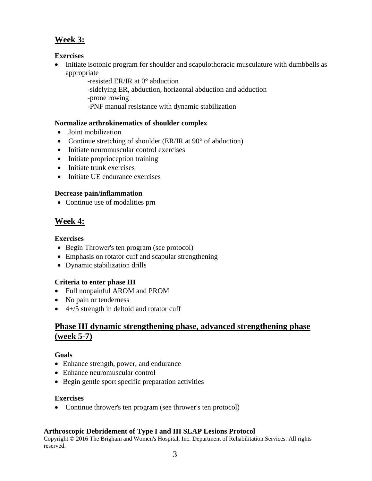# **Week 3:**

## **Exercises**

- Initiate isotonic program for shoulder and scapulothoracic musculature with dumbbells as appropriate
	- -resisted ER/IR at 0° abduction
	- -sidelying ER, abduction, horizontal abduction and adduction
	- -prone rowing
	- -PNF manual resistance with dynamic stabilization

## **Normalize arthrokinematics of shoulder complex**

- Joint mobilization
- Continue stretching of shoulder (ER/IR at 90° of abduction)
- Initiate neuromuscular control exercises
- Initiate proprioception training
- Initiate trunk exercises
- Initiate UE endurance exercises

## **Decrease pain/inflammation**

• Continue use of modalities prn

# **Week 4:**

## **Exercises**

- Begin Thrower's ten program (see protocol)
- Emphasis on rotator cuff and scapular strengthening
- Dynamic stabilization drills

## **Criteria to enter phase III**

- Full nonpainful AROM and PROM
- No pain or tenderness
- $\bullet$  4+/5 strength in deltoid and rotator cuff

## **Phase III dynamic strengthening phase, advanced strengthening phase (week 5-7)**

### **Goals**

- Enhance strength, power, and endurance
- Enhance neuromuscular control
- Begin gentle sport specific preparation activities

### **Exercises**

• Continue thrower's ten program (see thrower's ten protocol)

## **Arthroscopic Debridement of Type I and III SLAP Lesions Protocol**